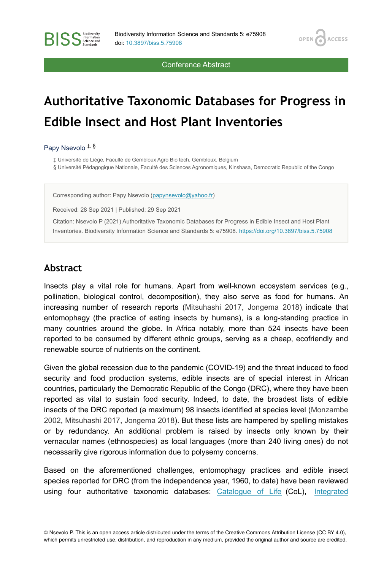**OPEN** 

**ACCESS** 

Conference Abstract

# **Authoritative Taxonomic Databases for Progress in Edible Insect and Host Plant Inventories**

Papy Nsevolo ‡, §

**BISS** Steence and

‡ Université de Liège, Faculté de Gembloux Agro Bio tech, Gembloux, Belgium

§ Université Pédagogique Nationale, Faculté des Sciences Agronomiques, Kinshasa, Democratic Republic of the Congo

Corresponding author: Papy Nsevolo ([papynsevolo@yahoo.fr\)](mailto:papynsevolo@yahoo.fr)

Received: 28 Sep 2021 | Published: 29 Sep 2021

Citation: Nsevolo P (2021) Authoritative Taxonomic Databases for Progress in Edible Insect and Host Plant Inventories. Biodiversity Information Science and Standards 5: e75908. <https://doi.org/10.3897/biss.5.75908>

#### **Abstract**

Insects play a vital role for humans. Apart from well-known ecosystem services (e.g., pollination, biological control, decomposition), they also serve as food for humans. An increasing number of research reports ([Mitsuhashi 2017](#page-2-0), [Jongema 2018](#page-2-1)) indicate that entomophagy (the practice of eating insects by humans), is a long-standing practice in many countries around the globe. In Africa notably, more than 524 insects have been reported to be consumed by different ethnic groups, serving as a cheap, ecofriendly and renewable source of nutrients on the continent.

Given the global recession due to the pandemic (COVID-19) and the threat induced to food security and food production systems, edible insects are of special interest in African countries, particularly the Democratic Republic of the Congo (DRC), where they have been reported as vital to sustain food security. Indeed, to date, the broadest lists of edible insects of the DRC reported (a maximum) 98 insects identified at species level ([Monzambe](#page-2-2) [2002](#page-2-2), [Mitsuhashi 2017](#page-2-0), [Jongema 2018](#page-2-1)). But these lists are hampered by spelling mistakes or by redundancy. An additional problem is raised by insects only known by their vernacular names (ethnospecies) as local languages (more than 240 living ones) do not necessarily give rigorous information due to polysemy concerns.

Based on the aforementioned challenges, entomophagy practices and edible insect species reported for DRC (from the independence year, 1960, to date) have been reviewed using four authoritative taxonomic databases: [Catalogue of Life](https://www.catalogueoflife.org/) (CoL), [Integrated](https://itis.gov/)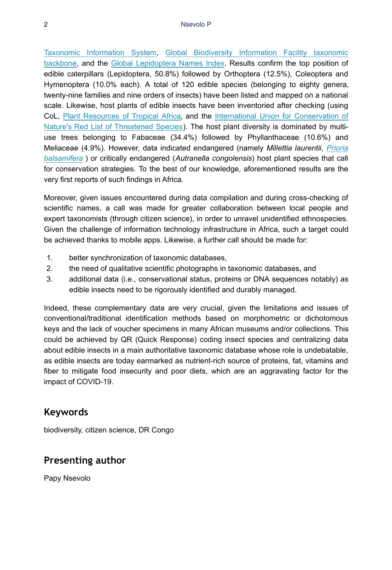[Taxonomic Information System,](https://itis.gov/) [Global Biodiversity Information Facility taxonomic](https://www.gbif.org/fr/species/search) [backbone](https://www.gbif.org/fr/species/search), and the [Global Lepidoptera Names Index.](https://www.nhm.ac.uk/our-science/data/lepindex/) Results confirm the top position of edible caterpillars (Lepidoptera, 50.8%) followed by Orthoptera (12.5%), Coleoptera and Hymenoptera (10.0% each). A total of 120 edible species (belonging to eighty genera, twenty-nine families and nine orders of insects) have been listed and mapped on a national scale. Likewise, host plants of edible insects have been inventoried after checking (using CoL, [Plant Resources of Tropical Africa](https://www.prota4u.org/database/search.asp), and the [International Union for Conservation of](https://www.iucnredlist.org/) [Nature's Red List of Threatened Species](https://www.iucnredlist.org/)). The host plant diversity is dominated by multiuse trees belonging to Fabaceae (34.4%) followed by Phyllanthaceae (10.6%) and Meliaceae (4.9%). However, data indicated endangered (namely *Millettia laurentii*, *[Prioria](https://www.gbif.org/fr/species/3970300) [balsamifera](https://www.gbif.org/fr/species/3970300)* ) or critically endangered (*Autranella congolensis*) host plant species that call for conservation strategies. To the best of our knowledge, aforementioned results are the very first reports of such findings in Africa.

Moreover, given issues encountered during data compilation and during cross-checking of scientific names, a call was made for greater collaboration between local people and expert taxonomists (through citizen science), in order to unravel unidentified ethnospecies. Given the challenge of information technology infrastructure in Africa, such a target could be achieved thanks to mobile apps. Likewise, a further call should be made for:

- 1. bеtter synchronization of taxonomic databases,
- 2. the need of qualitative scientific photographs in taxonomic databases, and
- 3. additional data (i.e., conservational status, proteins or DNA sequences notably) as edible insects need to be rigorously identified and durably managed.

Indeed, these complementary data are very crucial, given the limitations and issues of conventional/traditional identification methods based on morphometric or dichotomous keys and the lack of voucher specimens in many African museums and/or collections. This could be achieved by QR (Quick Response) coding insect species and centralizing data about edible insects in a main authoritative taxonomic database whose role is undebatable, as edible insects are today earmarked as nutrient-rich source of proteins, fat, vitamins and fiber to mitigate food insecurity and poor diets, which are an aggravating factor for the impact of COVID-19.

## **Keywords**

biodiversity, citizen science, DR Congo

## **Presenting author**

Papy Nsevolo